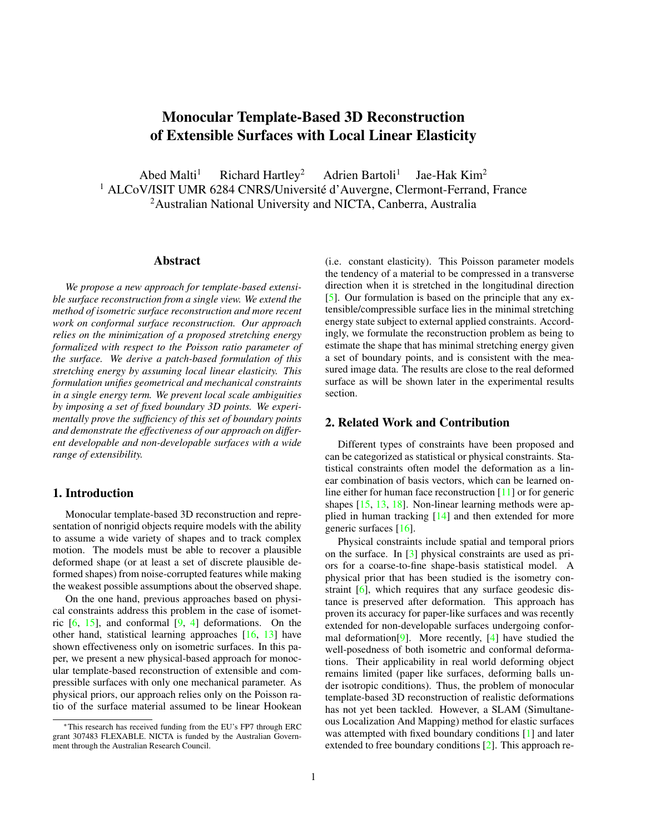# Monocular Template-Based 3D Reconstruction of Extensible Surfaces with Local Linear Elasticity

<span id="page-0-0"></span>Abed Malti<sup>1</sup> Richard Hartley<sup>2</sup> Adrien Bartoli<sup>1</sup> Jae-Hak Kim<sup>2</sup> <sup>1</sup> ALCoV/ISIT UMR 6284 CNRS/Université d'Auvergne, Clermont-Ferrand, France <sup>2</sup>Australian National University and NICTA, Canberra, Australia

#### Abstract

*We propose a new approach for template-based extensible surface reconstruction from a single view. We extend the method of isometric surface reconstruction and more recent work on conformal surface reconstruction. Our approach relies on the minimization of a proposed stretching energy formalized with respect to the Poisson ratio parameter of the surface. We derive a patch-based formulation of this stretching energy by assuming local linear elasticity. This formulation unifies geometrical and mechanical constraints in a single energy term. We prevent local scale ambiguities by imposing a set of fixed boundary 3D points. We experimentally prove the sufficiency of this set of boundary points and demonstrate the effectiveness of our approach on different developable and non-developable surfaces with a wide range of extensibility.*

## 1. Introduction

Monocular template-based 3D reconstruction and representation of nonrigid objects require models with the ability to assume a wide variety of shapes and to track complex motion. The models must be able to recover a plausible deformed shape (or at least a set of discrete plausible deformed shapes) from noise-corrupted features while making the weakest possible assumptions about the observed shape.

On the one hand, previous approaches based on physical constraints address this problem in the case of isometric  $[6, 15]$  $[6, 15]$  $[6, 15]$ , and conformal  $[9, 4]$  $[9, 4]$  $[9, 4]$  deformations. On the other hand, statistical learning approaches [\[16,](#page-7-4) [13\]](#page-7-5) have shown effectiveness only on isometric surfaces. In this paper, we present a new physical-based approach for monocular template-based reconstruction of extensible and compressible surfaces with only one mechanical parameter. As physical priors, our approach relies only on the Poisson ratio of the surface material assumed to be linear Hookean (i.e. constant elasticity). This Poisson parameter models the tendency of a material to be compressed in a transverse direction when it is stretched in the longitudinal direction [\[5\]](#page-7-6). Our formulation is based on the principle that any extensible/compressible surface lies in the minimal stretching energy state subject to external applied constraints. Accordingly, we formulate the reconstruction problem as being to estimate the shape that has minimal stretching energy given a set of boundary points, and is consistent with the measured image data. The results are close to the real deformed surface as will be shown later in the experimental results section.

## 2. Related Work and Contribution

Different types of constraints have been proposed and can be categorized as statistical or physical constraints. Statistical constraints often model the deformation as a linear combination of basis vectors, which can be learned online either for human face reconstruction [\[11\]](#page-7-7) or for generic shapes [\[15,](#page-7-1) [13,](#page-7-5) [18\]](#page-7-8). Non-linear learning methods were applied in human tracking  $[14]$  and then extended for more generic surfaces [\[16\]](#page-7-4).

Physical constraints include spatial and temporal priors on the surface. In [\[3\]](#page-7-10) physical constraints are used as priors for a coarse-to-fine shape-basis statistical model. A physical prior that has been studied is the isometry constraint [\[6\]](#page-7-0), which requires that any surface geodesic distance is preserved after deformation. This approach has proven its accuracy for paper-like surfaces and was recently extended for non-developable surfaces undergoing conformal deformation[\[9\]](#page-7-2). More recently, [\[4\]](#page-7-3) have studied the well-posedness of both isometric and conformal deformations. Their applicability in real world deforming object remains limited (paper like surfaces, deforming balls under isotropic conditions). Thus, the problem of monocular template-based 3D reconstruction of realistic deformations has not yet been tackled. However, a SLAM (Simultaneous Localization And Mapping) method for elastic surfaces was attempted with fixed boundary conditions [\[1\]](#page-7-11) and later extended to free boundary conditions [\[2\]](#page-7-12). This approach re-

<sup>∗</sup>This research has received funding from the EU's FP7 through ERC grant 307483 FLEXABLE. NICTA is funded by the Australian Government through the Australian Research Council.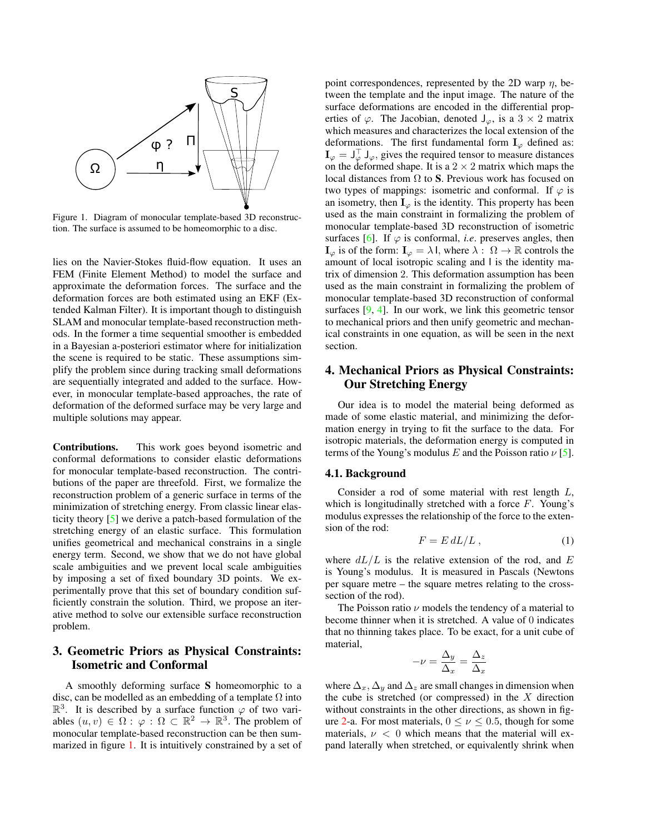<span id="page-1-1"></span>

<span id="page-1-0"></span>Figure 1. Diagram of monocular template-based 3D reconstruction. The surface is assumed to be homeomorphic to a disc.

lies on the Navier-Stokes fluid-flow equation. It uses an FEM (Finite Element Method) to model the surface and approximate the deformation forces. The surface and the deformation forces are both estimated using an EKF (Extended Kalman Filter). It is important though to distinguish SLAM and monocular template-based reconstruction methods. In the former a time sequential smoother is embedded in a Bayesian a-posteriori estimator where for initialization the scene is required to be static. These assumptions simplify the problem since during tracking small deformations are sequentially integrated and added to the surface. However, in monocular template-based approaches, the rate of deformation of the deformed surface may be very large and multiple solutions may appear.

Contributions. This work goes beyond isometric and conformal deformations to consider elastic deformations for monocular template-based reconstruction. The contributions of the paper are threefold. First, we formalize the reconstruction problem of a generic surface in terms of the minimization of stretching energy. From classic linear elasticity theory [\[5\]](#page-7-6) we derive a patch-based formulation of the stretching energy of an elastic surface. This formulation unifies geometrical and mechanical constrains in a single energy term. Second, we show that we do not have global scale ambiguities and we prevent local scale ambiguities by imposing a set of fixed boundary 3D points. We experimentally prove that this set of boundary condition sufficiently constrain the solution. Third, we propose an iterative method to solve our extensible surface reconstruction problem.

# 3. Geometric Priors as Physical Constraints: Isometric and Conformal

A smoothly deforming surface S homeomorphic to a disc, can be modelled as an embedding of a template  $\Omega$  into  $\mathbb{R}^3$ . It is described by a surface function  $\varphi$  of two variables  $(u, v) \in \Omega : \varphi : \Omega \subset \mathbb{R}^2 \to \mathbb{R}^3$ . The problem of monocular template-based reconstruction can be then sum-marized in figure [1.](#page-1-0) It is intuitively constrained by a set of point correspondences, represented by the 2D warp  $\eta$ , between the template and the input image. The nature of the surface deformations are encoded in the differential properties of  $\varphi$ . The Jacobian, denoted  $J_{\varphi}$ , is a  $3 \times 2$  matrix which measures and characterizes the local extension of the deformations. The first fundamental form  $\mathbf{I}_{\varphi}$  defined as:  $\mathbf{I}_{\varphi} = \mathbf{J}_{\varphi}^{\top} \mathbf{J}_{\varphi}$ , gives the required tensor to measure distances on the deformed shape. It is a  $2 \times 2$  matrix which maps the local distances from  $\Omega$  to S. Previous work has focused on two types of mappings: isometric and conformal. If  $\varphi$  is an isometry, then  $\mathbf{I}_{\varphi}$  is the identity. This property has been used as the main constraint in formalizing the problem of monocular template-based 3D reconstruction of isometric surfaces [\[6\]](#page-7-0). If  $\varphi$  is conformal, *i.e.* preserves angles, then  $\mathbf{I}_{\varphi}$  is of the form:  $\mathbf{I}_{\varphi} = \lambda \mathbf{I}$ , where  $\lambda : \Omega \to \mathbb{R}$  controls the amount of local isotropic scaling and I is the identity matrix of dimension 2. This deformation assumption has been used as the main constraint in formalizing the problem of monocular template-based 3D reconstruction of conformal surfaces [\[9,](#page-7-2) [4\]](#page-7-3). In our work, we link this geometric tensor to mechanical priors and then unify geometric and mechanical constraints in one equation, as will be seen in the next section.

# 4. Mechanical Priors as Physical Constraints: Our Stretching Energy

Our idea is to model the material being deformed as made of some elastic material, and minimizing the deformation energy in trying to fit the surface to the data. For isotropic materials, the deformation energy is computed in terms of the Young's modulus E and the Poisson ratio  $\nu$  [\[5\]](#page-7-6).

#### 4.1. Background

Consider a rod of some material with rest length L, which is longitudinally stretched with a force  $F$ . Young's modulus expresses the relationship of the force to the extension of the rod:

$$
F = E dL/L , \t\t(1)
$$

where  $dL/L$  is the relative extension of the rod, and E is Young's modulus. It is measured in Pascals (Newtons per square metre – the square metres relating to the crosssection of the rod).

The Poisson ratio  $\nu$  models the tendency of a material to become thinner when it is stretched. A value of 0 indicates that no thinning takes place. To be exact, for a unit cube of material,

$$
-\nu = \frac{\Delta_y}{\Delta_x} = \frac{\Delta_z}{\Delta_x}
$$

where  $\Delta_x$ ,  $\Delta_y$  and  $\Delta_z$  are small changes in dimension when the cube is stretched (or compressed) in the  $X$  direction without constraints in the other directions, as shown in fig-ure [2-](#page-2-0)a. For most materials,  $0 \le \nu \le 0.5$ , though for some materials,  $\nu < 0$  which means that the material will expand laterally when stretched, or equivalently shrink when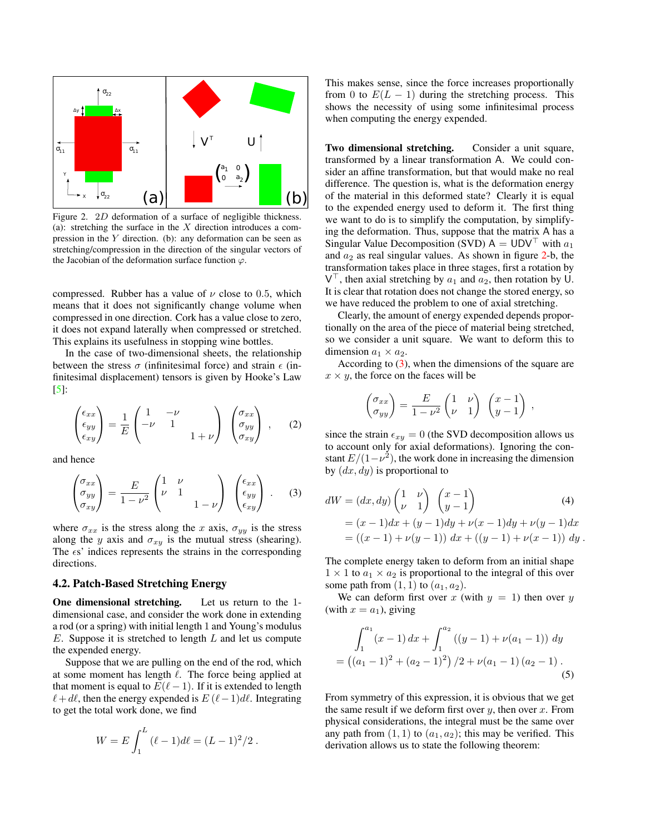<span id="page-2-2"></span>

<span id="page-2-0"></span>Figure 2. 2D deformation of a surface of negligible thickness. (a): stretching the surface in the  $X$  direction introduces a compression in the  $Y$  direction. (b): any deformation can be seen as stretching/compression in the direction of the singular vectors of the Jacobian of the deformation surface function  $\varphi$ .

compressed. Rubber has a value of  $\nu$  close to 0.5, which means that it does not significantly change volume when compressed in one direction. Cork has a value close to zero, it does not expand laterally when compressed or stretched. This explains its usefulness in stopping wine bottles.

In the case of two-dimensional sheets, the relationship between the stress  $\sigma$  (infinitesimal force) and strain  $\epsilon$  (infinitesimal displacement) tensors is given by Hooke's Law [\[5\]](#page-7-6):

$$
\begin{pmatrix} \epsilon_{xx} \\ \epsilon_{yy} \\ \epsilon_{xy} \end{pmatrix} = \frac{1}{E} \begin{pmatrix} 1 & -\nu & \\ -\nu & 1 & \\ & & 1+\nu \end{pmatrix} \begin{pmatrix} \sigma_{xx} \\ \sigma_{yy} \\ \sigma_{xy} \end{pmatrix} , \quad (2)
$$

and hence

<span id="page-2-1"></span>
$$
\begin{pmatrix} \sigma_{xx} \\ \sigma_{yy} \\ \sigma_{xy} \end{pmatrix} = \frac{E}{1 - \nu^2} \begin{pmatrix} 1 & \nu \\ \nu & 1 \\ & & 1 - \nu \end{pmatrix} \begin{pmatrix} \epsilon_{xx} \\ \epsilon_{yy} \\ \epsilon_{xy} \end{pmatrix} . \quad (3)
$$

where  $\sigma_{xx}$  is the stress along the x axis,  $\sigma_{yy}$  is the stress along the y axis and  $\sigma_{xy}$  is the mutual stress (shearing). The  $\epsilon$ s' indices represents the strains in the corresponding directions.

## 4.2. Patch-Based Stretching Energy

One dimensional stretching. Let us return to the 1 dimensional case, and consider the work done in extending a rod (or a spring) with initial length 1 and Young's modulus  $E$ . Suppose it is stretched to length  $L$  and let us compute the expended energy.

Suppose that we are pulling on the end of the rod, which at some moment has length  $\ell$ . The force being applied at that moment is equal to  $E(\ell - 1)$ . If it is extended to length  $\ell + d\ell$ , then the energy expended is  $E(\ell-1)d\ell$ . Integrating to get the total work done, we find

$$
W = E \int_1^L (\ell - 1) d\ell = (L - 1)^2 / 2.
$$

This makes sense, since the force increases proportionally from 0 to  $E(L - 1)$  during the stretching process. This shows the necessity of using some infinitesimal process when computing the energy expended.

Two dimensional stretching. Consider a unit square, transformed by a linear transformation A. We could consider an affine transformation, but that would make no real difference. The question is, what is the deformation energy of the material in this deformed state? Clearly it is equal to the expended energy used to deform it. The first thing we want to do is to simplify the computation, by simplifying the deformation. Thus, suppose that the matrix A has a Singular Value Decomposition (SVD)  $A = UDV^{\top}$  with  $a_1$ and  $a_2$  as real singular values. As shown in figure [2-](#page-2-0)b, the transformation takes place in three stages, first a rotation by  $V^{\top}$ , then axial stretching by  $a_1$  and  $a_2$ , then rotation by U. It is clear that rotation does not change the stored energy, so we have reduced the problem to one of axial stretching.

Clearly, the amount of energy expended depends proportionally on the area of the piece of material being stretched, so we consider a unit square. We want to deform this to dimension  $a_1 \times a_2$ .

According to  $(3)$ , when the dimensions of the square are  $x \times y$ , the force on the faces will be

$$
\begin{pmatrix} \sigma_{xx} \\ \sigma_{yy} \end{pmatrix} = \frac{E}{1 - \nu^2} \begin{pmatrix} 1 & \nu \\ \nu & 1 \end{pmatrix} \begin{pmatrix} x - 1 \\ y - 1 \end{pmatrix} ,
$$

since the strain  $\epsilon_{xy} = 0$  (the SVD decomposition allows us to account only for axial deformations). Ignoring the constant  $E/(1-\nu^2)$ , the work done in increasing the dimension by  $(dx, dy)$  is proportional to

$$
dW = (dx, dy) \begin{pmatrix} 1 & \nu \\ \nu & 1 \end{pmatrix} \begin{pmatrix} x - 1 \\ y - 1 \end{pmatrix}
$$
(4)  
=  $(x - 1)dx + (y - 1)dy + \nu(x - 1)dy + \nu(y - 1)dx$   
=  $((x - 1) + \nu(y - 1)) dx + ((y - 1) + \nu(x - 1)) dy$ .

The complete energy taken to deform from an initial shape  $1 \times 1$  to  $a_1 \times a_2$  is proportional to the integral of this over some path from  $(1, 1)$  to  $(a_1, a_2)$ .

We can deform first over x (with  $y = 1$ ) then over y (with  $x = a_1$ ), giving

$$
\int_{1}^{a_{1}} (x - 1) dx + \int_{1}^{a_{2}} ((y - 1) + \nu(a_{1} - 1)) dy
$$
  
=  $((a_{1} - 1)^{2} + (a_{2} - 1)^{2}) / 2 + \nu(a_{1} - 1) (a_{2} - 1).$  (5)

From symmetry of this expression, it is obvious that we get the same result if we deform first over  $y$ , then over  $x$ . From physical considerations, the integral must be the same over any path from  $(1, 1)$  to  $(a_1, a_2)$ ; this may be verified. This derivation allows us to state the following theorem: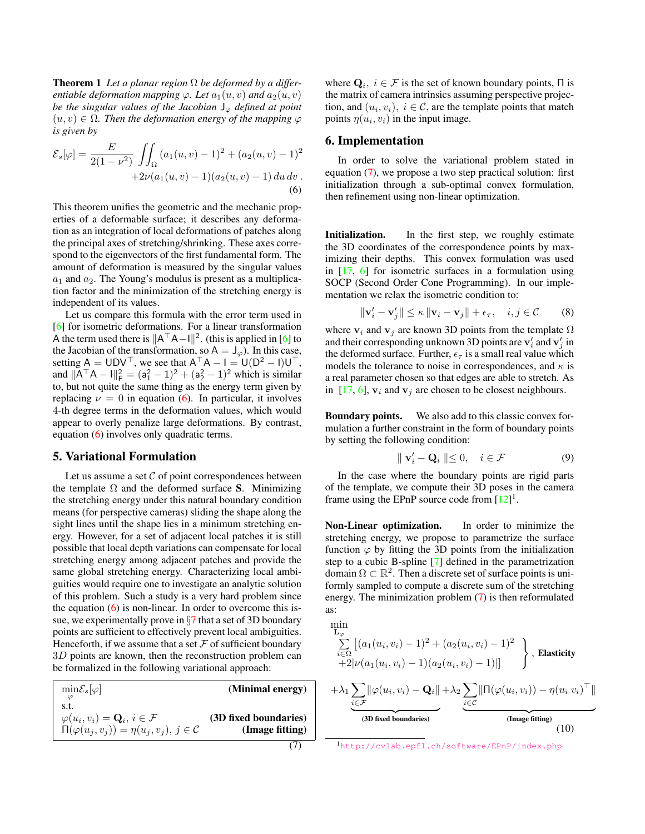<span id="page-3-3"></span>Theorem 1 *Let a planar region* Ω *be deformed by a differentiable deformation mapping*  $\varphi$ *. Let*  $a_1(u, v)$  *and*  $a_2(u, v)$ *be the singular values of the Jacobian* J<sub>∞</sub> *defined at point*  $(u, v) \in \Omega$ . Then the deformation energy of the mapping  $\varphi$ *is given by*

$$
\mathcal{E}_s[\varphi] = \frac{E}{2(1-\nu^2)} \iint_{\Omega} (a_1(u,v) - 1)^2 + (a_2(u,v) - 1)^2
$$
  
 
$$
+ 2\nu(a_1(u,v) - 1)(a_2(u,v) - 1) du dv.
$$
 (6)

This theorem unifies the geometric and the mechanic properties of a deformable surface; it describes any deformation as an integration of local deformations of patches along the principal axes of stretching/shrinking. These axes correspond to the eigenvectors of the first fundamental form. The amount of deformation is measured by the singular values  $a_1$  and  $a_2$ . The Young's modulus is present as a multiplication factor and the minimization of the stretching energy is independent of its values.

Let us compare this formula with the error term used in [\[6\]](#page-7-0) for isometric deformations. For a linear transformation A the term used there is  $||A^{\top}A-I||^2$ . (this is applied in [\[6\]](#page-7-0) to the Jacobian of the transformation, so  $A = J_{\varphi}$ ). In this case, setting  $A = UDV^{\top}$ , we see that  $A^{\top}A - I = U(D^2 - I)U^{\top}$ , and  $\|\mathbf{A}^\top \mathbf{A} - \mathbf{I}\|_{\mathsf{F}}^2 = (\mathsf{a}_1^2 - 1)^2 + (\mathsf{a}_2^2 - 1)^2$  which is similar to, but not quite the same thing as the energy term given by replacing  $\nu = 0$  in equation [\(6\)](#page-3-0). In particular, it involves 4-th degree terms in the deformation values, which would appear to overly penalize large deformations. By contrast, equation [\(6\)](#page-3-0) involves only quadratic terms.

## 5. Variational Formulation

Let us assume a set  $C$  of point correspondences between the template  $\Omega$  and the deformed surface S. Minimizing the stretching energy under this natural boundary condition means (for perspective cameras) sliding the shape along the sight lines until the shape lies in a minimum stretching energy. However, for a set of adjacent local patches it is still possible that local depth variations can compensate for local stretching energy among adjacent patches and provide the same global stretching energy. Characterizing local ambiguities would require one to investigate an analytic solution of this problem. Such a study is a very hard problem since the equation  $(6)$  is non-linear. In order to overcome this issue, we experimentally prove in  $\S7$  $\S7$  that a set of 3D boundary points are sufficient to effectively prevent local ambiguities. Henceforth, if we assume that a set  $\mathcal F$  of sufficient boundary 3D points are known, then the reconstruction problem can be formalized in the following variational approach:

<span id="page-3-1"></span>

| $\min\mathcal{E}_s[\varphi]$                                                                                                        | (Minimal energy)                         |
|-------------------------------------------------------------------------------------------------------------------------------------|------------------------------------------|
| s.t.<br>$\varphi(u_i, v_i) = \mathbf{Q}_i, i \in \mathcal{F}$<br>$\mathsf{\Pi}(\varphi(u_i,v_i)) = \eta(u_i,v_i),\,j\in\mathcal{C}$ | (3D fixed boundaries)<br>(Image fitting) |
|                                                                                                                                     |                                          |

where  $\mathbf{Q}_i$ ,  $i \in \mathcal{F}$  is the set of known boundary points,  $\Pi$  is the matrix of camera intrinsics assuming perspective projection, and  $(u_i, v_i)$ ,  $i \in \mathcal{C}$ , are the template points that match points  $\eta(u_i, v_i)$  in the input image.

#### <span id="page-3-2"></span>6. Implementation

<span id="page-3-0"></span>In order to solve the variational problem stated in equation  $(7)$ , we propose a two step practical solution: first initialization through a sub-optimal convex formulation, then refinement using non-linear optimization.

Initialization. In the first step, we roughly estimate the 3D coordinates of the correspondence points by maximizing their depths. This convex formulation was used in [\[17,](#page-7-13) [6\]](#page-7-0) for isometric surfaces in a formulation using SOCP (Second Order Cone Programming). In our implementation we relax the isometric condition to:

$$
\|\mathbf{v}'_i - \mathbf{v}'_j\| \le \kappa \|\mathbf{v}_i - \mathbf{v}_j\| + \epsilon_\tau, \quad i, j \in \mathcal{C}
$$
 (8)

where  $v_i$  and  $v_j$  are known 3D points from the template  $\Omega$ and their corresponding unknown 3D points are  $v_i'$  and  $v_j'$  in the deformed surface. Further,  $\epsilon_{\tau}$  is a small real value which models the tolerance to noise in correspondences, and  $\kappa$  is a real parameter chosen so that edges are able to stretch. As in [\[17,](#page-7-13) [6\]](#page-7-0),  $v_i$  and  $v_j$  are chosen to be closest neighbours.

Boundary points. We also add to this classic convex formulation a further constraint in the form of boundary points by setting the following condition:

$$
\parallel \mathbf{v}'_i - \mathbf{Q}_i \parallel \leq 0, \quad i \in \mathcal{F} \tag{9}
$$

In the case where the boundary points are rigid parts of the template, we compute their 3D poses in the camera frame using the EPnP source code from  $[12]$ <sup>1</sup>.

Non-Linear optimization. In order to minimize the stretching energy, we propose to parametrize the surface function  $\varphi$  by fitting the 3D points from the initialization step to a cubic B-spline [\[7\]](#page-7-15) defined in the parametrization domain  $\Omega \subset \mathbb{R}^2$ . Then a discrete set of surface points is uniformly sampled to compute a discrete sum of the stretching energy. The minimization problem [\(7\)](#page-3-1) is then reformulated as:

$$
\begin{aligned}\n\min_{\mathbf{L}_{\varphi}} \sum_{i \in \Omega} \left[ (a_1(u_i, v_i) - 1)^2 + (a_2(u_i, v_i) - 1)^2 \right] &\text{Elasticity} \\
+ 2|\nu(a_1(u_i, v_i) - 1)(a_2(u_i, v_i) - 1)|] &\text{Elasticity} \\
+\lambda_1 \underbrace{\sum_{i \in \mathcal{F}} \|\varphi(u_i, v_i) - \mathbf{Q}_i\|}_{\text{(3D fixed boundaries)}} + \lambda_2 \underbrace{\sum_{i \in \mathcal{C}} \|\Pi(\varphi(u_i, v_i)) - \eta(u_i, v_i)^\top\|}_{\text{(Image fitting)}}\n\end{aligned}
$$

<sup>1</sup><http://cvlab.epfl.ch/software/EPnP/index.php>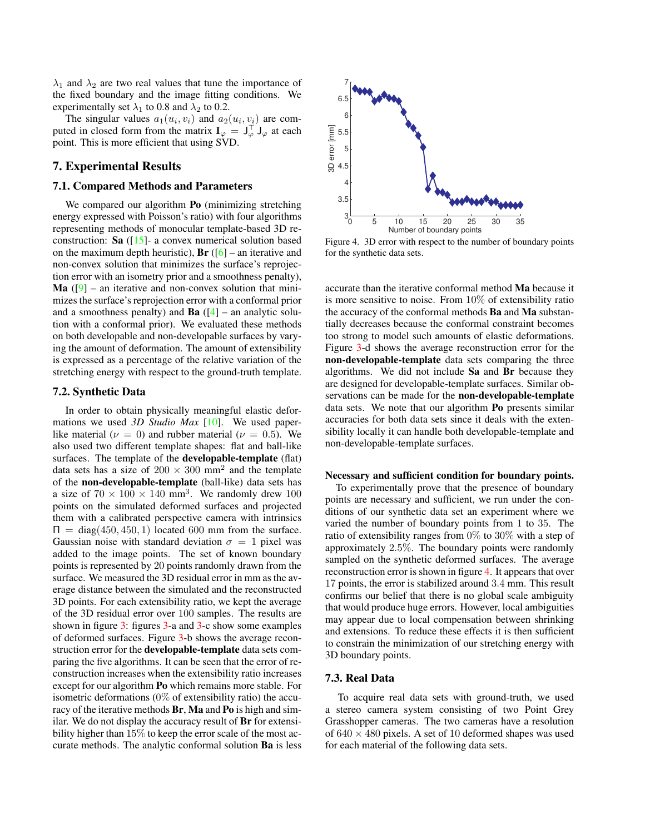<span id="page-4-2"></span> $\lambda_1$  and  $\lambda_2$  are two real values that tune the importance of the fixed boundary and the image fitting conditions. We experimentally set  $\lambda_1$  to 0.8 and  $\lambda_2$  to 0.2.

The singular values  $a_1(u_i, v_i)$  and  $a_2(u_i, v_i)$  are computed in closed form from the matrix  $I_{\varphi} = J_{\varphi}^{\top} J_{\varphi}$  at each point. This is more efficient that using SVD.

## <span id="page-4-0"></span>7. Experimental Results

#### 7.1. Compared Methods and Parameters

We compared our algorithm **Po** (minimizing stretching energy expressed with Poisson's ratio) with four algorithms representing methods of monocular template-based 3D reconstruction: Sa  $([15]$  $([15]$ - a convex numerical solution based on the maximum depth heuristic),  $\textbf{Br}$  ([\[6\]](#page-7-0) – an iterative and non-convex solution that minimizes the surface's reprojection error with an isometry prior and a smoothness penalty), **Ma** ( $[9]$  – an iterative and non-convex solution that minimizes the surface's reprojection error with a conformal prior and a smoothness penalty) and **Ba** ( $[4]$  – an analytic solution with a conformal prior). We evaluated these methods on both developable and non-developable surfaces by varying the amount of deformation. The amount of extensibility is expressed as a percentage of the relative variation of the stretching energy with respect to the ground-truth template.

#### 7.2. Synthetic Data

In order to obtain physically meaningful elastic deformations we used *3D Studio Max* [\[10\]](#page-7-16). We used paperlike material ( $\nu = 0$ ) and rubber material ( $\nu = 0.5$ ). We also used two different template shapes: flat and ball-like surfaces. The template of the **developable-template** (flat) data sets has a size of  $200 \times 300$  mm<sup>2</sup> and the template of the non-developable-template (ball-like) data sets has a size of  $70 \times 100 \times 140$  mm<sup>3</sup>. We randomly drew 100 points on the simulated deformed surfaces and projected them with a calibrated perspective camera with intrinsics  $\Pi = \text{diag}(450, 450, 1)$  located 600 mm from the surface. Gaussian noise with standard deviation  $\sigma = 1$  pixel was added to the image points. The set of known boundary points is represented by 20 points randomly drawn from the surface. We measured the 3D residual error in mm as the average distance between the simulated and the reconstructed 3D points. For each extensibility ratio, we kept the average of the 3D residual error over 100 samples. The results are shown in figure [3:](#page-5-0) figures [3-](#page-5-0)a and [3-](#page-5-0)c show some examples of deformed surfaces. Figure [3-](#page-5-0)b shows the average reconstruction error for the developable-template data sets comparing the five algorithms. It can be seen that the error of reconstruction increases when the extensibility ratio increases except for our algorithm Po which remains more stable. For isometric deformations  $(0\%$  of extensibility ratio) the accuracy of the iterative methods Br, Ma and Po is high and similar. We do not display the accuracy result of Br for extensibility higher than 15% to keep the error scale of the most accurate methods. The analytic conformal solution Ba is less



<span id="page-4-1"></span>Figure 4. 3D error with respect to the number of boundary points for the synthetic data sets.

accurate than the iterative conformal method Ma because it is more sensitive to noise. From 10% of extensibility ratio the accuracy of the conformal methods Ba and Ma substantially decreases because the conformal constraint becomes too strong to model such amounts of elastic deformations. Figure [3-](#page-5-0)d shows the average reconstruction error for the non-developable-template data sets comparing the three algorithms. We did not include Sa and Br because they are designed for developable-template surfaces. Similar observations can be made for the non-developable-template data sets. We note that our algorithm Po presents similar accuracies for both data sets since it deals with the extensibility locally it can handle both developable-template and non-developable-template surfaces.

#### Necessary and sufficient condition for boundary points.

To experimentally prove that the presence of boundary points are necessary and sufficient, we run under the conditions of our synthetic data set an experiment where we varied the number of boundary points from 1 to 35. The ratio of extensibility ranges from 0% to 30% with a step of approximately 2.5%. The boundary points were randomly sampled on the synthetic deformed surfaces. The average reconstruction error is shown in figure [4.](#page-4-1) It appears that over 17 points, the error is stabilized around 3.4 mm. This result confirms our belief that there is no global scale ambiguity that would produce huge errors. However, local ambiguities may appear due to local compensation between shrinking and extensions. To reduce these effects it is then sufficient to constrain the minimization of our stretching energy with 3D boundary points.

#### 7.3. Real Data

To acquire real data sets with ground-truth, we used a stereo camera system consisting of two Point Grey Grasshopper cameras. The two cameras have a resolution of  $640 \times 480$  pixels. A set of 10 deformed shapes was used for each material of the following data sets.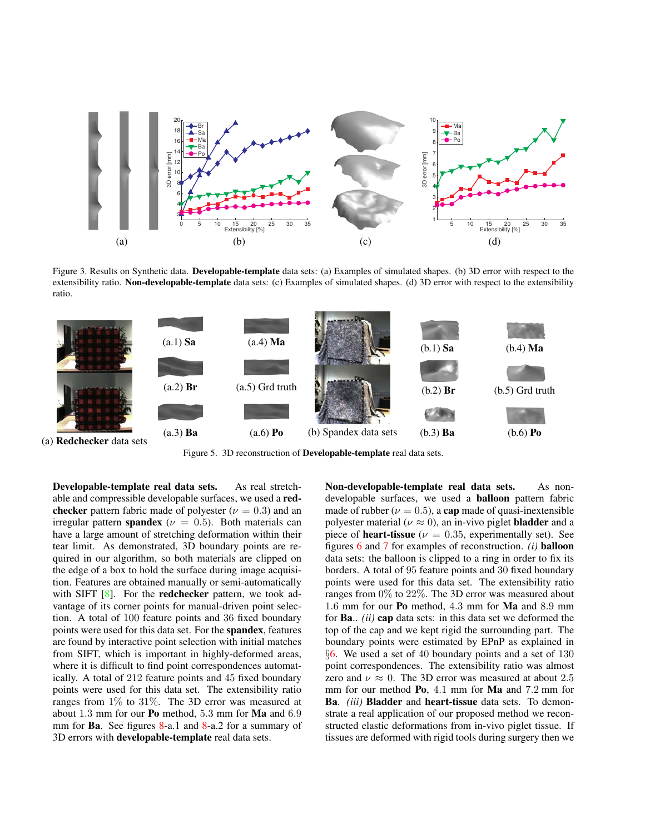<span id="page-5-1"></span>

<span id="page-5-0"></span>Figure 3. Results on Synthetic data. Developable-template data sets: (a) Examples of simulated shapes. (b) 3D error with respect to the extensibility ratio. Non-developable-template data sets: (c) Examples of simulated shapes. (d) 3D error with respect to the extensibility ratio.



Figure 5. 3D reconstruction of Developable-template real data sets.

Developable-template real data sets. As real stretchable and compressible developable surfaces, we used a redchecker pattern fabric made of polyester ( $\nu = 0.3$ ) and an irregular pattern **spandex** ( $\nu = 0.5$ ). Both materials can have a large amount of stretching deformation within their tear limit. As demonstrated, 3D boundary points are required in our algorithm, so both materials are clipped on the edge of a box to hold the surface during image acquisition. Features are obtained manually or semi-automatically with SIFT  $[8]$ . For the **redchecker** pattern, we took advantage of its corner points for manual-driven point selection. A total of 100 feature points and 36 fixed boundary points were used for this data set. For the spandex, features are found by interactive point selection with initial matches from SIFT, which is important in highly-deformed areas, where it is difficult to find point correspondences automatically. A total of 212 feature points and 45 fixed boundary points were used for this data set. The extensibility ratio ranges from 1% to 31%. The 3D error was measured at about 1.3 mm for our Po method, 5.3 mm for Ma and 6.9 mm for **Ba**. See figures [8-](#page-7-18)a.1 and 8-a.2 for a summary of 3D errors with developable-template real data sets.

Non-developable-template real data sets. As nondevelopable surfaces, we used a balloon pattern fabric made of rubber ( $\nu = 0.5$ ), a cap made of quasi-inextensible polyester material ( $\nu \approx 0$ ), an in-vivo piglet **bladder** and a piece of **heart-tissue** ( $\nu = 0.35$ , experimentally set). See figures [6](#page-6-0) and [7](#page-6-1) for examples of reconstruction. *(i)* balloon data sets: the balloon is clipped to a ring in order to fix its borders. A total of 95 feature points and 30 fixed boundary points were used for this data set. The extensibility ratio ranges from 0% to 22%. The 3D error was measured about 1.6 mm for our Po method, 4.3 mm for Ma and 8.9 mm for Ba.. *(ii)* cap data sets: in this data set we deformed the top of the cap and we kept rigid the surrounding part. The boundary points were estimated by EPnP as explained in §[6.](#page-3-2) We used a set of 40 boundary points and a set of 130 point correspondences. The extensibility ratio was almost zero and  $\nu \approx 0$ . The 3D error was measured at about 2.5 mm for our method Po, 4.1 mm for Ma and 7.2 mm for Ba. *(iii)* Bladder and heart-tissue data sets. To demonstrate a real application of our proposed method we reconstructed elastic deformations from in-vivo piglet tissue. If tissues are deformed with rigid tools during surgery then we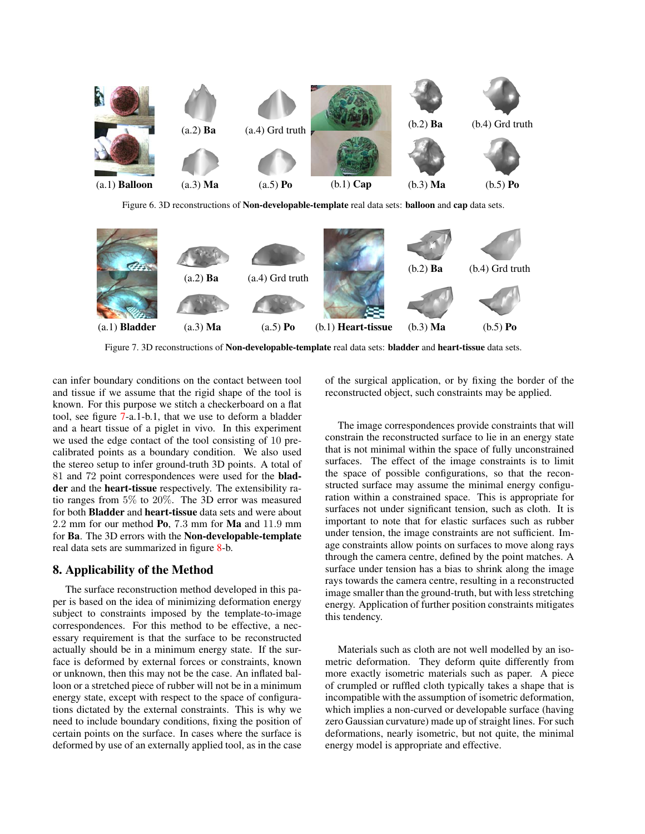

<span id="page-6-0"></span>Figure 6. 3D reconstructions of Non-developable-template real data sets: balloon and cap data sets.

(a.1) Bladder  $(a.2)$  Ba (a.3) Ma (a.4) Grd truth  $(a.5)$  Po  $(b.1)$  Heart-tissue (b.2) Ba (b.3) Ma (b.4) Grd truth  $(b.5)$  Po

<span id="page-6-1"></span>Figure 7. 3D reconstructions of Non-developable-template real data sets: bladder and heart-tissue data sets.

can infer boundary conditions on the contact between tool and tissue if we assume that the rigid shape of the tool is known. For this purpose we stitch a checkerboard on a flat tool, see figure [7-](#page-6-1)a.1-b.1, that we use to deform a bladder and a heart tissue of a piglet in vivo. In this experiment we used the edge contact of the tool consisting of 10 precalibrated points as a boundary condition. We also used the stereo setup to infer ground-truth 3D points. A total of 81 and 72 point correspondences were used for the bladder and the heart-tissue respectively. The extensibility ratio ranges from 5% to 20%. The 3D error was measured for both Bladder and heart-tissue data sets and were about 2.2 mm for our method Po, 7.3 mm for Ma and 11.9 mm for Ba. The 3D errors with the Non-developable-template real data sets are summarized in figure [8-](#page-7-18)b.

## 8. Applicability of the Method

The surface reconstruction method developed in this paper is based on the idea of minimizing deformation energy subject to constraints imposed by the template-to-image correspondences. For this method to be effective, a necessary requirement is that the surface to be reconstructed actually should be in a minimum energy state. If the surface is deformed by external forces or constraints, known or unknown, then this may not be the case. An inflated balloon or a stretched piece of rubber will not be in a minimum energy state, except with respect to the space of configurations dictated by the external constraints. This is why we need to include boundary conditions, fixing the position of certain points on the surface. In cases where the surface is deformed by use of an externally applied tool, as in the case

of the surgical application, or by fixing the border of the reconstructed object, such constraints may be applied.

The image correspondences provide constraints that will constrain the reconstructed surface to lie in an energy state that is not minimal within the space of fully unconstrained surfaces. The effect of the image constraints is to limit the space of possible configurations, so that the reconstructed surface may assume the minimal energy configuration within a constrained space. This is appropriate for surfaces not under significant tension, such as cloth. It is important to note that for elastic surfaces such as rubber under tension, the image constraints are not sufficient. Image constraints allow points on surfaces to move along rays through the camera centre, defined by the point matches. A surface under tension has a bias to shrink along the image rays towards the camera centre, resulting in a reconstructed image smaller than the ground-truth, but with less stretching energy. Application of further position constraints mitigates this tendency.

Materials such as cloth are not well modelled by an isometric deformation. They deform quite differently from more exactly isometric materials such as paper. A piece of crumpled or ruffled cloth typically takes a shape that is incompatible with the assumption of isometric deformation, which implies a non-curved or developable surface (having zero Gaussian curvature) made up of straight lines. For such deformations, nearly isometric, but not quite, the minimal energy model is appropriate and effective.